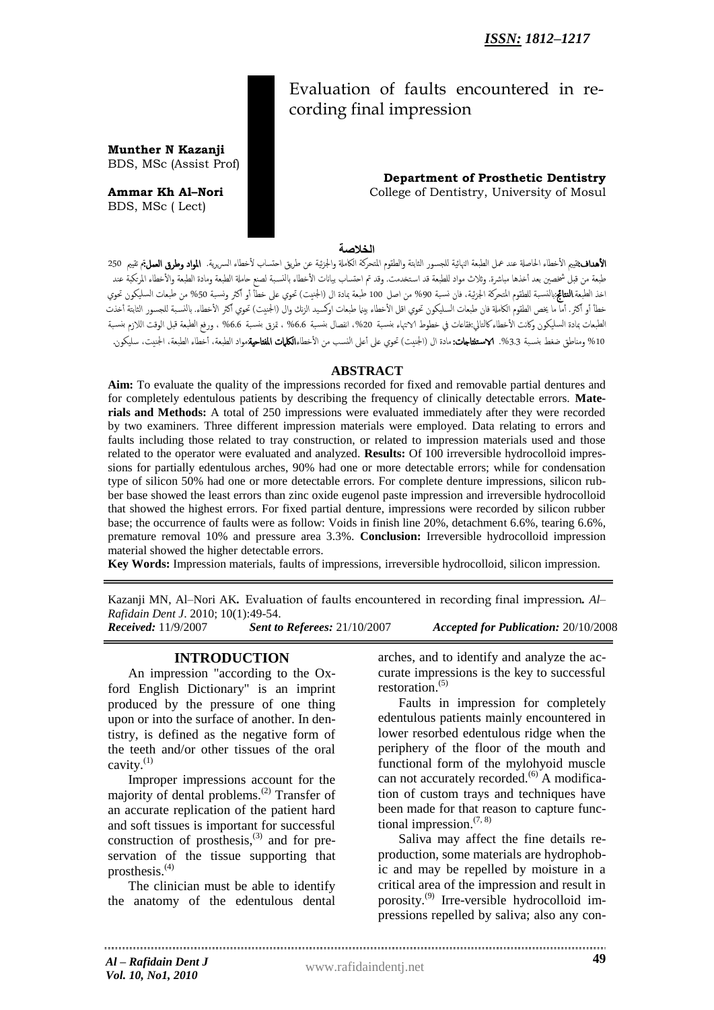# Evaluation of faults encountered in recording final impression

 **Department of Prosthetic Dentistry Ammar Kh Al-Nori College of Dentistry, University of Mosul** 

### **الخالصة**

الأهداف:ثييم الأخطاء الحاصلة عند عمل الطبعة النهائية للجسور الثابتة والطقوم المتحركة الكاملة والجزئية عن طريق احتساب لأخطاء السريرية. المواد وطرق العمل, تقييم 250 طبعة من قبل شخصن بعد أخذها مباشرة. وثلاث مواد للطبعة قد استخدمت. وقد تم احتساب بيانات الأخطاء بالنسبة لصنع حاملة الطبعة ومادة الطبعة والأخطاء المرتكبة عند اخذ الطبعة.**النتائج**:بالنسبة للطقوم المتحركة الجزئية، فان نسبة 90% من اصل 100 طبعة بمادة ال (الجنيت) تحوي على خطأ أو أكثر ونسبة 50% من طبعات السليكون تحوي خطأ أو أكثر. أما ما يخص الطقوم الكاملة فان طبعات السليكون تحوي اقل الأخطاء بينما طبعات اوكسيد الزنك وال (الجنيت) تحوي أكثر الأخطاء. بالنسبة للجسور الثابتة أخذت الطبعات بمادة السليكون وكانت الأخطاء كالتالي:فقاعات في خطوط الانتهاء بنسبة 0.0% ، متزق بأس بق 6.6% ، ورفع الطبعة قبل الوقت اللازم بنسبة 10% ومناطق ضغط بنسبة 3.3%. **لاستثتاجات:**مادة ال (الجنيت) تحوي على أعلى النسب من الأخطاء**الكليات المفتاحية**مواد الطبعة، أخطاء الطبعة، الجنيت، سليكون.

### **ABSTRACT**

**Aim:** To evaluate the quality of the impressions recorded for fixed and removable partial dentures and for completely edentulous patients by describing the frequency of clinically detectable errors. **Materials and Methods:** A total of 250 impressions were evaluated immediately after they were recorded by two examiners. Three different impression materials were employed. Data relating to errors and faults including those related to tray construction, or related to impression materials used and those related to the operator were evaluated and analyzed. **Results:** Of 100 irreversible hydrocolloid impressions for partially edentulous arches, 90% had one or more detectable errors; while for condensation type of silicon 50% had one or more detectable errors. For complete denture impressions, silicon rubber base showed the least errors than zinc oxide eugenol paste impression and irreversible hydrocolloid that showed the highest errors. For fixed partial denture, impressions were recorded by silicon rubber base; the occurrence of faults were as follow: Voids in finish line 20%, detachment 6.6%, tearing 6.6%, premature removal 10% and pressure area 3.3%. **Conclusion:** Irreversible hydrocolloid impression material showed the higher detectable errors.

**Key Words:** Impression materials, faults of impressions, irreversible hydrocolloid, silicon impression.

Kazanji MN, Al–Nori AK*.* Evaluation of faults encountered in recording final impression*. Al– Rafidain Dent J*. 2010; 10(1):49-54.

*Received:* 11/9/2007 *Sent to Referees:* 21/10/2007 *Accepted for Publication:* 20/10/2008

#### **INTRODUCTION**

**Munther N Kazanji**  BDS, MSc (Assist Prof)

BDS, MSc ( Lect)

An impression "according to the Oxford English Dictionary" is an imprint produced by the pressure of one thing upon or into the surface of another. In dentistry, is defined as the negative form of the teeth and/or other tissues of the oral cavity.(1)

Improper impressions account for the majority of dental problems.<sup>(2)</sup> Transfer of an accurate replication of the patient hard and soft tissues is important for successful construction of prosthesis, $^{(3)}$  and for preservation of the tissue supporting that prosthesis. $(4)$ 

The clinician must be able to identify the anatomy of the edentulous dental arches, and to identify and analyze the accurate impressions is the key to successful restoration.(5)

Faults in impression for completely edentulous patients mainly encountered in lower resorbed edentulous ridge when the periphery of the floor of the mouth and functional form of the mylohyoid muscle can not accurately recorded.<sup>(6)</sup> A modification of custom trays and techniques have been made for that reason to capture functional impression. $(7, 8)$ 

Saliva may affect the fine details reproduction, some materials are hydrophobic and may be repelled by moisture in a critical area of the impression and result in porosity.(9) Irre-versible hydrocolloid impressions repelled by saliva; also any con-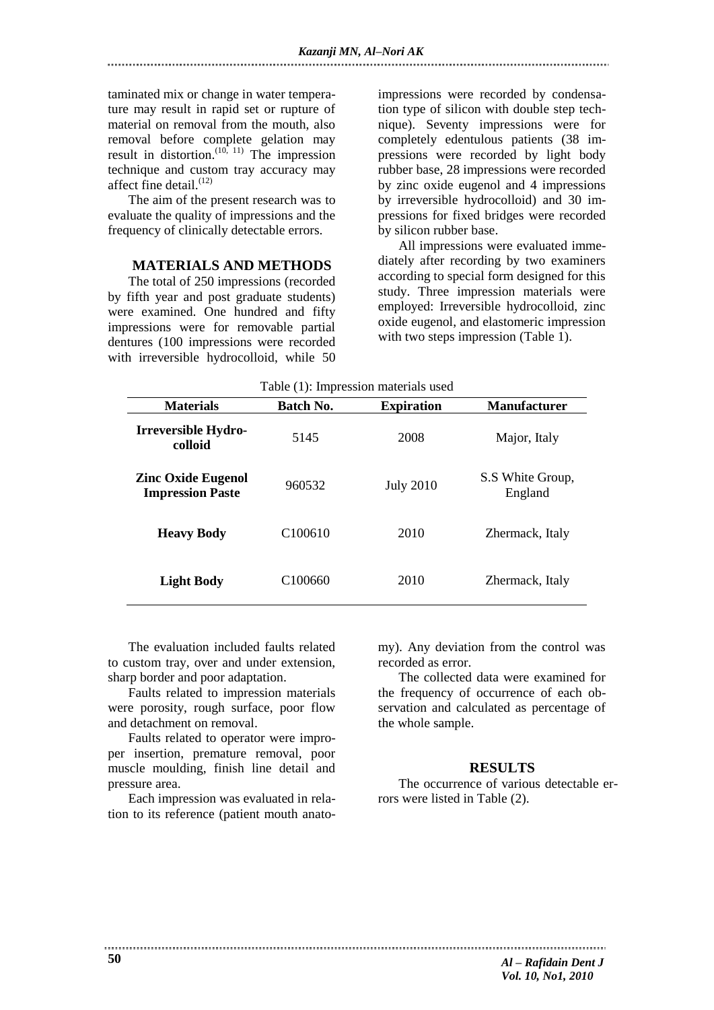taminated mix or change in water temperature may result in rapid set or rupture of material on removal from the mouth, also removal before complete gelation may result in distortion.<sup>(10, 11)</sup> The impression technique and custom tray accuracy may affect fine detail.<sup>(12)</sup>

The aim of the present research was to evaluate the quality of impressions and the frequency of clinically detectable errors.

#### **MATERIALS AND METHODS**

The total of 250 impressions (recorded by fifth year and post graduate students) were examined. One hundred and fifty impressions were for removable partial dentures (100 impressions were recorded with irreversible hydrocolloid, while 50 impressions were recorded by condensation type of silicon with double step technique). Seventy impressions were for completely edentulous patients (38 impressions were recorded by light body rubber base, 28 impressions were recorded by zinc oxide eugenol and 4 impressions by irreversible hydrocolloid) and 30 impressions for fixed bridges were recorded by silicon rubber base.

All impressions were evaluated immediately after recording by two examiners according to special form designed for this study. Three impression materials were employed: Irreversible hydrocolloid, zinc oxide eugenol, and elastomeric impression with two steps impression (Table 1).

|                                                      |                     | Table (1): Impression materials used |                             |
|------------------------------------------------------|---------------------|--------------------------------------|-----------------------------|
| <b>Materials</b>                                     | Batch No.           | <b>Expiration</b>                    | <b>Manufacturer</b>         |
| Irreversible Hydro-<br>colloid                       | 5145                | 2008                                 | Major, Italy                |
| <b>Zinc Oxide Eugenol</b><br><b>Impression Paste</b> | 960532              | <b>July 2010</b>                     | S.S White Group,<br>England |
| <b>Heavy Body</b>                                    | C <sub>100610</sub> | 2010                                 | Zhermack, Italy             |
| <b>Light Body</b>                                    | C <sub>100660</sub> | 2010                                 | Zhermack, Italy             |

The evaluation included faults related to custom tray, over and under extension, sharp border and poor adaptation.

Faults related to impression materials were porosity, rough surface, poor flow and detachment on removal.

Faults related to operator were improper insertion, premature removal, poor muscle moulding, finish line detail and pressure area.

Each impression was evaluated in relation to its reference (patient mouth anatomy). Any deviation from the control was recorded as error.

The collected data were examined for the frequency of occurrence of each observation and calculated as percentage of the whole sample.

### **RESULTS**

The occurrence of various detectable errors were listed in Table (2).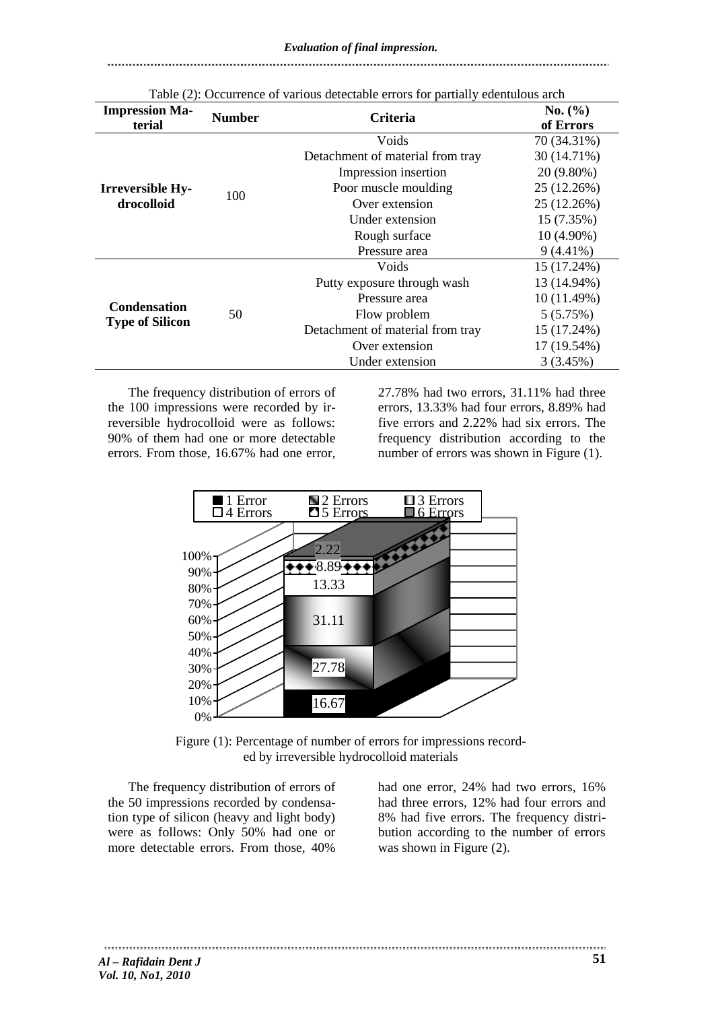#### 

| <b>Impression Ma-</b><br>terial               | <b>Number</b> | <b>Criteria</b>                  | No. (%)<br>of Errors |
|-----------------------------------------------|---------------|----------------------------------|----------------------|
|                                               |               | Voids                            | 70 (34.31%)          |
|                                               |               | Detachment of material from tray | 30 (14.71%)          |
|                                               | 100           | Impression insertion             | $20(9.80\%)$         |
| <b>Irreversible Hy-</b>                       |               | Poor muscle moulding             | 25 (12.26%)          |
| drocolloid                                    |               | Over extension                   | 25 (12.26%)          |
|                                               |               | Under extension                  | 15 (7.35%)           |
|                                               |               | Rough surface                    | $10(4.90\%)$         |
|                                               |               | Pressure area                    | $9(4.41\%)$          |
|                                               |               | Voids                            | 15 (17.24%)          |
| <b>Condensation</b><br><b>Type of Silicon</b> |               | Putty exposure through wash      | 13 (14.94%)          |
|                                               |               | Pressure area                    | 10 (11.49%)          |
|                                               | 50            | Flow problem                     | 5(5.75%)             |
|                                               |               | Detachment of material from tray | 15 (17.24%)          |
|                                               |               | Over extension                   | 17 (19.54%)          |
|                                               |               | Under extension                  | 3(3.45%)             |

Table (2): Occurrence of various detectable errors for partially edentulous arch

The frequency distribution of errors of the 100 impressions were recorded by irreversible hydrocolloid were as follows: 90% of them had one or more detectable errors. From those, 16.67% had one error, 27.78% had two errors, 31.11% had three errors, 13.33% had four errors, 8.89% had five errors and 2.22% had six errors. The frequency distribution according to the number of errors was shown in Figure (1).



Figure (1): Percentage of number of errors for impressions recorded by irreversible hydrocolloid materials

The frequency distribution of errors of the 50 impressions recorded by condensation type of silicon (heavy and light body) were as follows: Only 50% had one or more detectable errors. From those, 40%

had one error, 24% had two errors, 16% had three errors, 12% had four errors and 8% had five errors. The frequency distribution according to the number of errors was shown in Figure (2).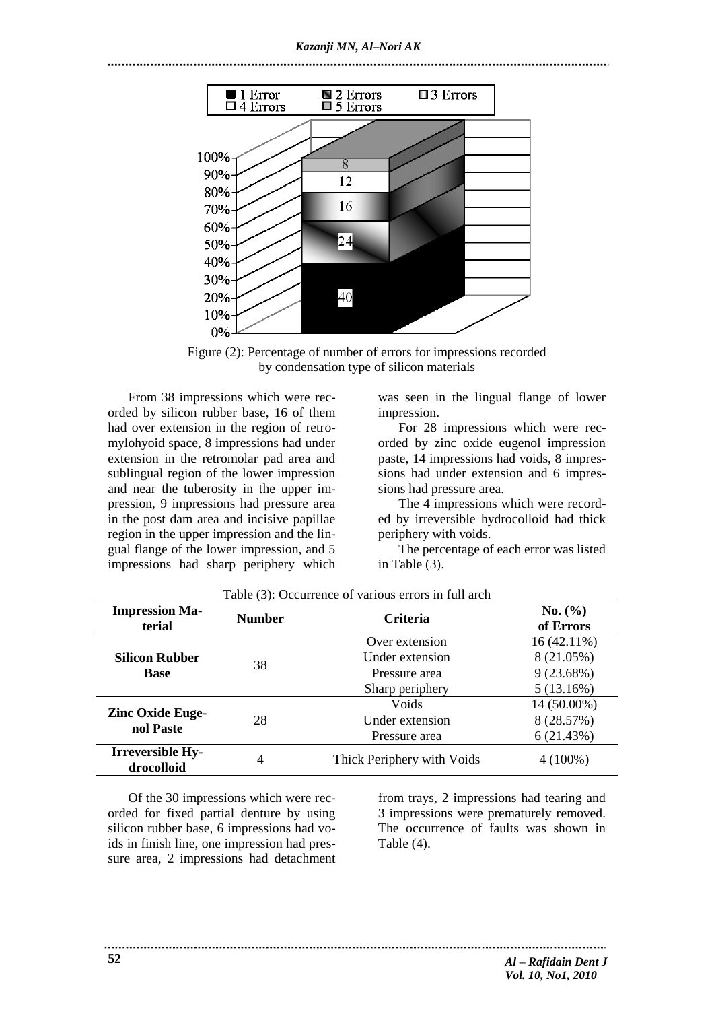

Figure (2): Percentage of number of errors for impressions recorded by condensation type of silicon materials

From 38 impressions which were recorded by silicon rubber base, 16 of them had over extension in the region of retromylohyoid space, 8 impressions had under extension in the retromolar pad area and sublingual region of the lower impression and near the tuberosity in the upper impression, 9 impressions had pressure area in the post dam area and incisive papillae region in the upper impression and the lingual flange of the lower impression, and 5 impressions had sharp periphery which was seen in the lingual flange of lower impression.

For 28 impressions which were recorded by zinc oxide eugenol impression paste, 14 impressions had voids, 8 impressions had under extension and 6 impressions had pressure area.

The 4 impressions which were recorded by irreversible hydrocolloid had thick periphery with voids.

The percentage of each error was listed in Table (3).

| <b>Impression Ma-</b><br>terial       | <b>Number</b> | <b>Criteria</b>            | No. (%)<br>of Errors |
|---------------------------------------|---------------|----------------------------|----------------------|
| <b>Silicon Rubber</b><br><b>Base</b>  | 38            | Over extension             | $16(42.11\%)$        |
|                                       |               | Under extension            | 8 (21.05%)           |
|                                       |               | Pressure area              | 9(23.68%)            |
|                                       |               | Sharp periphery            | 5(13.16%)            |
| <b>Zinc Oxide Euge-</b><br>nol Paste  |               | Voids                      | 14 (50.00%)          |
|                                       | 28            | Under extension            | 8 (28.57%)           |
|                                       |               | Pressure area              | 6(21.43%)            |
| <b>Irreversible Hy-</b><br>drocolloid | 4             | Thick Periphery with Voids | $4(100\%)$           |

Table (3): Occurrence of various errors in full arch

Of the 30 impressions which were recorded for fixed partial denture by using silicon rubber base, 6 impressions had voids in finish line, one impression had pressure area, 2 impressions had detachment

from trays, 2 impressions had tearing and 3 impressions were prematurely removed. The occurrence of faults was shown in Table (4).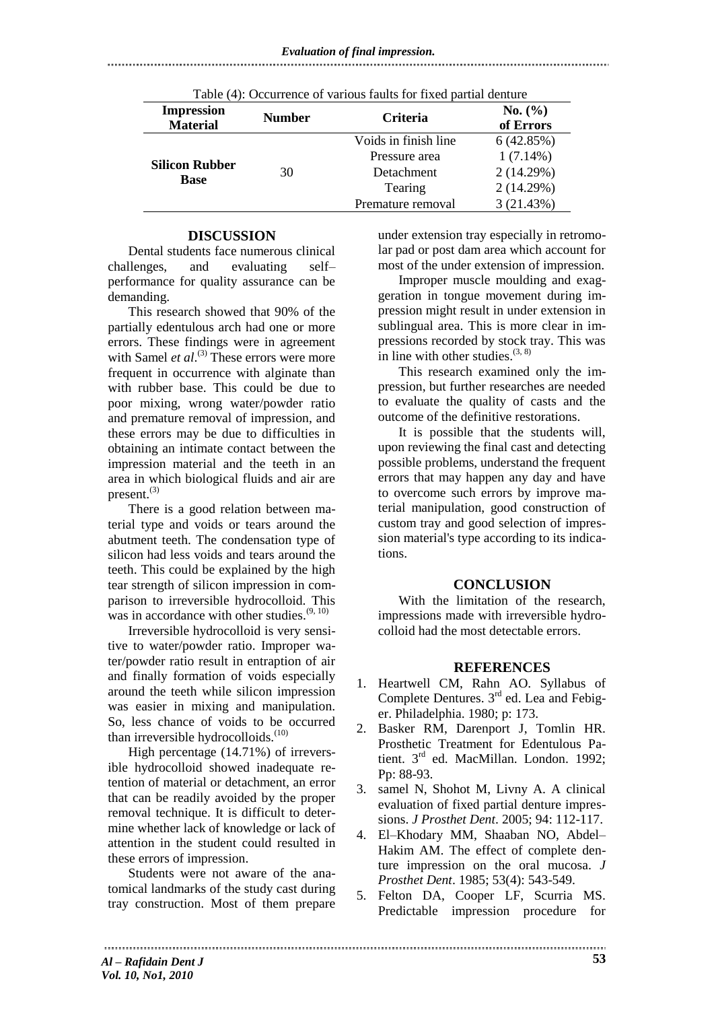| Table (4): Occurrence of various faults for fixed partial denture |               |                      |                      |  |
|-------------------------------------------------------------------|---------------|----------------------|----------------------|--|
| <b>Impression</b><br><b>Material</b>                              | <b>Number</b> | <b>Criteria</b>      | No. (%)<br>of Errors |  |
| <b>Silicon Rubber</b><br><b>Base</b>                              | 30            | Voids in finish line | 6(42.85%)            |  |
|                                                                   |               | Pressure area        | $1(7.14\%)$          |  |
|                                                                   |               | Detachment           | 2(14.29%)            |  |
|                                                                   |               | Tearing              | 2(14.29%)            |  |
|                                                                   |               | Premature removal    | 3(21.43%)            |  |

## **DISCUSSION**

Dental students face numerous clinical challenges, and evaluating self– performance for quality assurance can be demanding.

This research showed that 90% of the partially edentulous arch had one or more errors. These findings were in agreement with Samel *et al.*<sup>(3)</sup> These errors were more frequent in occurrence with alginate than with rubber base. This could be due to poor mixing, wrong water/powder ratio and premature removal of impression, and these errors may be due to difficulties in obtaining an intimate contact between the impression material and the teeth in an area in which biological fluids and air are present. $^{(3)}$ 

There is a good relation between material type and voids or tears around the abutment teeth. The condensation type of silicon had less voids and tears around the teeth. This could be explained by the high tear strength of silicon impression in comparison to irreversible hydrocolloid. This was in accordance with other studies. $(9, 10)$ 

Irreversible hydrocolloid is very sensitive to water/powder ratio. Improper water/powder ratio result in entraption of air and finally formation of voids especially around the teeth while silicon impression was easier in mixing and manipulation. So, less chance of voids to be occurred than irreversible hydrocolloids. $(10)$ 

High percentage (14.71%) of irreversible hydrocolloid showed inadequate retention of material or detachment, an error that can be readily avoided by the proper removal technique. It is difficult to determine whether lack of knowledge or lack of attention in the student could resulted in these errors of impression.

Students were not aware of the anatomical landmarks of the study cast during tray construction. Most of them prepare

under extension tray especially in retromolar pad or post dam area which account for most of the under extension of impression.

Improper muscle moulding and exaggeration in tongue movement during impression might result in under extension in sublingual area. This is more clear in impressions recorded by stock tray. This was in line with other studies.  $(3, 8)$ 

This research examined only the impression, but further researches are needed to evaluate the quality of casts and the outcome of the definitive restorations.

It is possible that the students will, upon reviewing the final cast and detecting possible problems, understand the frequent errors that may happen any day and have to overcome such errors by improve material manipulation, good construction of custom tray and good selection of impression material's type according to its indications.

## **CONCLUSION**

With the limitation of the research, impressions made with irreversible hydrocolloid had the most detectable errors.

## **REFERENCES**

- 1. Heartwell CM, Rahn AO. Syllabus of Complete Dentures.  $3<sup>rd</sup>$  ed. Lea and Febiger. Philadelphia. 1980; p: 173.
- 2. Basker RM, Darenport J, Tomlin HR. Prosthetic Treatment for Edentulous Patient. 3<sup>rd</sup> ed. MacMillan. London. 1992; Pp: 88-93.
- 3. samel N, Shohot M, Livny A. A clinical evaluation of fixed partial denture impressions. *J Prosthet Dent*. 2005; 94: 112-117.
- 4. El–Khodary MM, Shaaban NO, Abdel– Hakim AM. The effect of complete denture impression on the oral mucosa. *J Prosthet Dent*. 1985; 53(4): 543-549.
- 5. Felton DA, Cooper LF, Scurria MS. Predictable impression procedure for